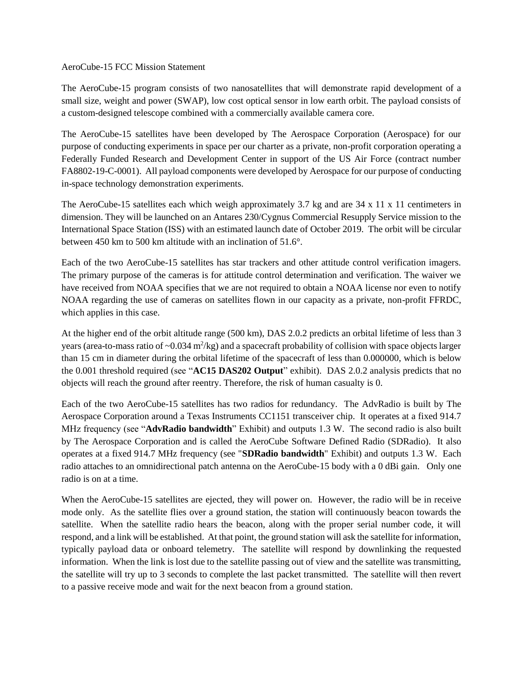## AeroCube-15 FCC Mission Statement

The AeroCube-15 program consists of two nanosatellites that will demonstrate rapid development of a small size, weight and power (SWAP), low cost optical sensor in low earth orbit. The payload consists of a custom-designed telescope combined with a commercially available camera core.

The AeroCube-15 satellites have been developed by The Aerospace Corporation (Aerospace) for our purpose of conducting experiments in space per our charter as a private, non-profit corporation operating a Federally Funded Research and Development Center in support of the US Air Force (contract number FA8802-19-C-0001). All payload components were developed by Aerospace for our purpose of conducting in-space technology demonstration experiments.

The AeroCube-15 satellites each which weigh approximately 3.7 kg and are  $34 \times 11 \times 11$  centimeters in dimension. They will be launched on an Antares 230/Cygnus Commercial Resupply Service mission to the International Space Station (ISS) with an estimated launch date of October 2019. The orbit will be circular between 450 km to 500 km altitude with an inclination of 51.6°.

Each of the two AeroCube-15 satellites has star trackers and other attitude control verification imagers. The primary purpose of the cameras is for attitude control determination and verification. The waiver we have received from NOAA specifies that we are not required to obtain a NOAA license nor even to notify NOAA regarding the use of cameras on satellites flown in our capacity as a private, non-profit FFRDC, which applies in this case.

At the higher end of the orbit altitude range (500 km), DAS 2.0.2 predicts an orbital lifetime of less than 3 years (area-to-mass ratio of  $\sim 0.034 \text{ m}^2/\text{kg}$ ) and a spacecraft probability of collision with space objects larger than 15 cm in diameter during the orbital lifetime of the spacecraft of less than 0.000000, which is below the 0.001 threshold required (see "**AC15 DAS202 Output**" exhibit). DAS 2.0.2 analysis predicts that no objects will reach the ground after reentry. Therefore, the risk of human casualty is 0.

Each of the two AeroCube-15 satellites has two radios for redundancy. The AdvRadio is built by The Aerospace Corporation around a Texas Instruments CC1151 transceiver chip. It operates at a fixed 914.7 MHz frequency (see "**AdvRadio bandwidth**" Exhibit) and outputs 1.3 W. The second radio is also built by The Aerospace Corporation and is called the AeroCube Software Defined Radio (SDRadio). It also operates at a fixed 914.7 MHz frequency (see "**SDRadio bandwidth**" Exhibit) and outputs 1.3 W. Each radio attaches to an omnidirectional patch antenna on the AeroCube‐15 body with a 0 dBi gain. Only one radio is on at a time.

When the AeroCube-15 satellites are ejected, they will power on. However, the radio will be in receive mode only. As the satellite flies over a ground station, the station will continuously beacon towards the satellite. When the satellite radio hears the beacon, along with the proper serial number code, it will respond, and a link will be established. At that point, the ground station will ask the satellite for information, typically payload data or onboard telemetry. The satellite will respond by downlinking the requested information. When the link is lost due to the satellite passing out of view and the satellite was transmitting, the satellite will try up to 3 seconds to complete the last packet transmitted. The satellite will then revert to a passive receive mode and wait for the next beacon from a ground station.